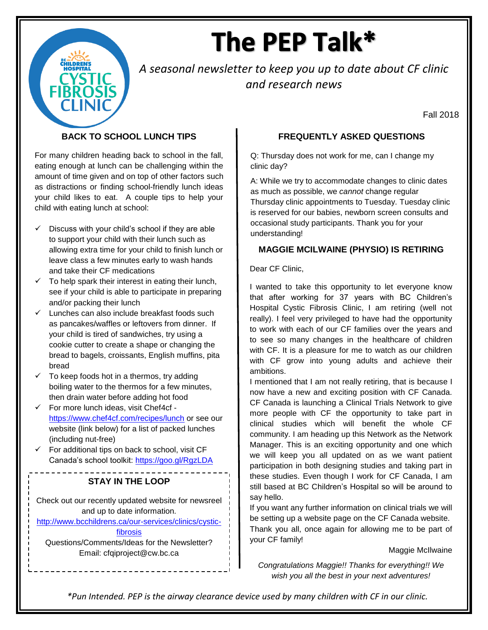# The PEP Talk\*

*A seasonal newsletter to keep you up to date about CF clinic and research news* 

Fall 2018

## **BACK TO SCHOOL LUNCH TIPS**

For many children heading back to school in the fall, eating enough at lunch can be challenging within the amount of time given and on top of other factors such as distractions or finding school-friendly lunch ideas your child likes to eat. A couple tips to help your child with eating lunch at school:

- $\checkmark$  Discuss with your child's school if they are able to support your child with their lunch such as allowing extra time for your child to finish lunch or leave class a few minutes early to wash hands and take their CF medications
- $\checkmark$  To help spark their interest in eating their lunch, see if your child is able to participate in preparing and/or packing their lunch
- Lunches can also include breakfast foods such as pancakes/waffles or leftovers from dinner. If your child is tired of sandwiches, try using a cookie cutter to create a shape or changing the bread to bagels, croissants, English muffins, pita bread
- $\checkmark$  To keep foods hot in a thermos, try adding boiling water to the thermos for a few minutes, then drain water before adding hot food
- $\checkmark$  For more lunch ideas, visit Chef4cf <https://www.chef4cf.com/recipes/lunch> or see our website (link below) for a list of packed lunches (including nut-free)
- $\checkmark$  For additional tips on back to school, visit CF Canada's school toolkit:<https://goo.gl/RgzLDA>

# **STAY IN THE LOOP**

Check out our recently updated website for newsreel and up to date information.

[http://www.bcchildrens.ca/our-services/clinics/cystic-](http://www.bcchildrens.ca/our-services/clinics/cystic-fibrosis)

#### [fibrosis](http://www.bcchildrens.ca/our-services/clinics/cystic-fibrosis)

Questions/Comments/Ideas for the Newsletter? Email: cfqiproject@cw.bc.ca

### **FREQUENTLY ASKED QUESTIONS**

Q: Thursday does not work for me, can I change my clinic day?

A: While we try to accommodate changes to clinic dates as much as possible, we *cannot* change regular Thursday clinic appointments to Tuesday. Tuesday clinic is reserved for our babies, newborn screen consults and occasional study participants. Thank you for your understanding!

#### **MAGGIE MCILWAINE (PHYSIO) IS RETIRING**

#### Dear CF Clinic,

I wanted to take this opportunity to let everyone know that after working for 37 years with BC Children's Hospital Cystic Fibrosis Clinic, I am retiring (well not really). I feel very privileged to have had the opportunity to work with each of our CF families over the years and to see so many changes in the healthcare of children with CF. It is a pleasure for me to watch as our children with CF grow into young adults and achieve their ambitions.

I mentioned that I am not really retiring, that is because I now have a new and exciting position with CF Canada. CF Canada is launching a Clinical Trials Network to give more people with CF the opportunity to take part in clinical studies which will benefit the whole CF community. I am heading up this Network as the Network Manager. This is an exciting opportunity and one which we will keep you all updated on as we want patient participation in both designing studies and taking part in these studies. Even though I work for CF Canada, I am still based at BC Children's Hospital so will be around to say hello.

If you want any further information on clinical trials we will be setting up a website page on the CF Canada website. Thank you all, once again for allowing me to be part of your CF family!

#### Maggie McIlwaine

*Congratulations Maggie!! Thanks for everything!! We wish you all the best in your next adventures!*

*\*Pun Intended. PEP is the airway clearance device used by many children with CF in our clinic.*